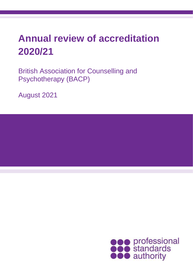# **Annual review of accreditation 2020/21**

British Association for Counselling and Psychotherapy (BACP)

August 2021

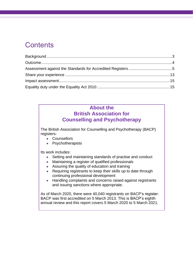### **Contents**

### **About the British Association for Counselling and Psychotherapy**

The British Association for Counselling and Psychotherapy (BACP) registers:

- Counsellors
- Psychotherapists

Its work includes:

- Setting and maintaining standards of practise and conduct
- Maintaining a register of qualified professionals
- Assuring the quality of education and training
- Requiring registrants to keep their skills up to date through continuing professional development
- Handling complaints and concerns raised against registrants and issuing sanctions where appropriate.

As of March 2020, there were 40,040 registrants on BACP's register. BACP was first accredited on 5 March 2013. This is BACP's eighth annual review and this report covers 5 March 2020 to 5 March 2021.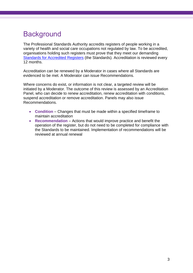## <span id="page-2-0"></span>**Background**

The Professional Standards Authority accredits registers of people working in a variety of health and social care occupations not regulated by law. To be accredited, organisations holding such registers must prove that they meet our demanding [Standards for Accredited Registers](https://www.professionalstandards.org.uk/accredited-registers/about-accredited-registers/our-standards) (the Standards). Accreditation is reviewed every 12 months.

Accreditation can be renewed by a Moderator in cases where all Standards are evidenced to be met. A Moderator can issue Recommendations.

Where concerns do exist, or information is not clear, a targeted review will be initiated by a Moderator. The outcome of this review is assessed by an Accreditation Panel, who can decide to renew accreditation, renew accreditation with conditions, suspend accreditation or remove accreditation. Panels may also issue Recommendations.

- **Condition** Changes that must be made within a specified timeframe to maintain accreditation
- **Recommendation** Actions that would improve practice and benefit the operation of the register, but do not need to be completed for compliance with the Standards to be maintained. Implementation of recommendations will be reviewed at annual renewal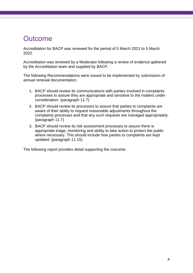### <span id="page-3-0"></span>**Outcome**

Accreditation for BACP was renewed for the period of 5 March 2021 to 5 March 2022.

Accreditation was renewed by a Moderator following a review of evidence gathered by the Accreditation team and supplied by BACP.

The following Recommendations were issued to be implemented by submission of annual renewal documentation.

- **1.** BACP should review its communications with parties involved in complaints processes to assure they are appropriate and sensitive to the matters under consideration. (paragraph 11.7)
- **2.** BACP should review its processes to assure that parties to complaints are aware of their ability to request reasonable adjustments throughout the complaints processes and that any such requests are managed appropriately. (paragraph 11.7)
- **3.** BACP should review its risk assessment processes to assure there is appropriate triage, monitoring and ability to take action to protect the public where necessary. This should include how parties to complaints are kept updated. (paragraph 11.15)

The following report provides detail supporting the outcome.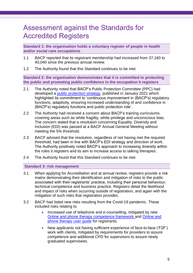### <span id="page-4-0"></span>Assessment against the Standards for Accredited Registers

**Standard 1: the organisation holds a voluntary register of people in health and/or social care occupations**

- 1.1 BACP reported that its registrant membership had increased from 37,160 to 40,040 since the previous annual review.
- 1.2 The Authority found that this Standard continues to be met.

**Standard 2: the organisation demonstrates that it is committed to protecting the public and promoting public confidence in the occupation it registers**

- 2.1 The Authority noted that BACP's Public Protection Committee (PPC) had developed a [public protection strategy,](https://www.bacp.co.uk/media/10764/bacp-public-protection-strategy-january-2021.pdf) published in January 2021 which highlighted its commitment to 'continuous improvement in (BACP's) regulatory functions, adaptivity, ensuring increased understanding of and confidence in (BACP's) regulatory functions and public protection role'.
- 2.2 The Authority had received a concern about BACP's training curriculums covering areas such as white fragility, white privilege and unconscious bias. The concern stated that a resolution concerning Equality, Diversity and Inclusion (EDI) was passed at a BACP Annual General Meeting without meeting the 5% threshold.
- 2.3 BACP advised that the resolution, regardless of not having met the required threshold, had been in line with BACP's EDI strategy and direction of work. The Authority positively noted BACP's approach to increasing diversity within the roles it registers and its aim to increase access to talking therapies.
- 2.4 The Authority found that this Standard continues to be met.

#### **Standard 3: risk management**

- 3.1 When applying for Accreditation and at annual review, registers provide a risk matrix demonstrating their identification and mitigation of risks to the public associated with their registrants' practice, including their personal behaviour, technical competence and business practice. Registers detail the likelihood and impact of risks when occurring outside of registration, and again with the mitigation of such risks that registration provides.
- 3.2 BACP had listed new risks resulting from the Covid-19 pandemic. These included risks relating to:
	- Increased use of telephone and e-counselling, mitigated by new [Online and phone therapy competence framework](https://www.bacp.co.uk/media/10849/bacp-online-and-phone-therapy-competence-framework-feb21.pdf) and [Online and](https://www.bacp.co.uk/media/10850/bacp-online-and-phone-therapy-user-guide-feb21.pdf)  [phone therapy user guide](https://www.bacp.co.uk/media/10850/bacp-online-and-phone-therapy-user-guide-feb21.pdf) for registrants.
	- New applicants not having sufficient experience of face-to-face ('F2F') work with clients, mitigated by requirements for providers to assure competence and additional CPD for supervisors to assure newly graduated supervisees.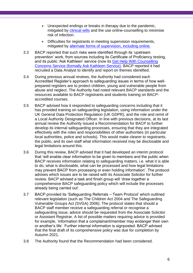- Unexpected endings or breaks in therapy due to the pandemic, mitigated by [clinical wills](https://www.bacp.co.uk/bacp-journals/private-practice/spring-2016/where-theres-a-will-theres-a-way/) and the use online-counselling to minimise risk of infection.
- Difficulties for registrants in meeting supervision requirements, mitigated by [alternate forms of supervision, including online.](https://www.bacp.co.uk/news/news-from-bacp/coronavirus/supervision-faqs/)
- 3.3 BACP reported that such risks were identified through its 'upstream prevention' work, from sources including its Certificate of Proficiency testing, and its public 'Ask Kathleen' service (now its [Get Help With Counselling](https://www.bacp.co.uk/about-therapy/get-help-with-counselling-concerns-service/)  [Concerns Service \(formally Ask Kathleen Service\).](https://www.bacp.co.uk/about-therapy/get-help-with-counselling-concerns-service/) BACP reported it had recruited a Data Analyst to identify and report on themes identified.
- 3.4 During previous annual reviews, the Authority had considered each Accredited Register's approach to safeguarding issues in terms of how wellprepared registers are to protect children, young and vulnerable people from abuse and neglect. The Authority had noted relevant BACP standards and the resources available to BACP registrants and students training on BACPaccredited courses.
- 3.5 BACP advised how it responded to safeguarding concerns including that it has provided training on safeguarding legislation, using information under the UK General Data Protection Regulation (UK GDPR), and the role and remit of a Local Authority Designated Officer. In line with previous decisions, at its last annual review the Authority issued a Recommendation for BACP to further develop its internal safeguarding processes, ensuring that they are integrated effectively with the roles and responsibilities of other authorities (in particular local authorities, police and schools). This would make clearer to registrants, the public, and its own staff what information received may be disclosable and legal limitations around this.
- 3.6 During this review, BACP advised that it had developed an interim protocol that 'will enable clear information to be given to members and the public when BACP receives information relating to safeguarding matters, i.e. what it is able to do, what is disclosable, what can be processed and how legal limitations may prevent BACP from processing or even holding information'. The protocol advises which issues are to be raised with its Associate Solicitor for further review. BACP advised a task and finish group will 'draw together a comprehensive BACP safeguarding policy which will include the processes already being carried out'.
- 3.7 BACP provided its 'Safeguarding Referrals Team Protocol' which outlined relevant legislation (such as The Children Act 2004 and The Safeguarding Vulnerable Groups Act (SVGA) 2006). The protocol states that should a BACP staff member receive a safeguarding referral or recognise a safeguarding issue, advice should be requested from the Associate Solicitor or Assistant Registrar. A list of possible matters requiring advice is provided for example, 'information that a complainant/member may endanger their own or another's life'. Further internal information is signposted. BACP advised that the final draft of its comprehensive policy was due for completion by Autumn 2021.
- 3.8 The Authority found that the Recommendation had been considered.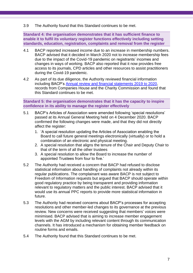#### 3.9 The Authority found that this Standard continues to be met.

**Standard 4: the organisation demonstrates that it has sufficient finance to enable it to fulfil its voluntary register functions effectively including setting standards, education, registration, complaints and removal from the register**

- 4.1 BACP reported increased income due to an increase in membership numbers. BACP advised that it decided in March 2020 not to increase membership fees due to the impact of the Covid-19 pandemic on registrants' incomes and changes in ways of working. BACP also reported that it now provides free access to its journals, CPD articles and other resources to assist practitioners during the Covid-19 pandemic.
- 4.2 As part of its due diligence, the Authority reviewed financial information including BACP's [Annual review and financial statements 2019 to 2020,](https://www.bacp.co.uk/media/10109/bacpannual-reviewfinancial-statements-2020.pdf) records from Companies House and the Charity Commission and found that this Standard continues to be met.

**Standard 5: the organisation demonstrates that it has the capacity to inspire confidence in its ability to manage the register effectively**

- 5.1 BACP's Articles of Association were amended following 'special resolutions' passed at its Annual General Meeting held on 4 December 2020. BACP confirmed the following changes were made, and that they did not directly affect the register:
	- 1. 'A special resolution updating the Articles of Association enabling the Board to call future general meetings electronically (virtually) or to hold a combination of an electronic and physical meeting.
	- 2. A special resolution that aligns the tenure of the Chair and Deputy Chair to that of the term of all the other trustees
	- 3. A special resolution to allow the Board to increase the number of appointed Trustees from four to five.'
- 5.2 The Authority had received a concern that BACP had refused to disclose statistical information about handling of complaints not already within its regular publications. The complainant was aware BACP is not subject to Freedom of Information requests but argued that BACP should operate within good regulatory practice by being transparent and providing information relevant to regulatory matters and the public interest. BACP advised that it would use its annual PPC reports to provide more statistical information in future.
- 5.3 The Authority had received concerns about BACP's processes for accepting resolutions and other member-led changes to its governance at the previous review. New concerns were received suggesting that members' voices were minimised. BACP advised that is aiming to increase member engagement levels with the AGM by including relevant content through its communication channels. It has introduced a mechanism for obtaining member feedback on routine forms and emails.
- 5.4 The Authority found that this Standard continues to be met.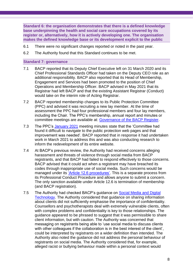**Standard 6: the organisation demonstrates that there is a defined knowledge base underpinning the health and social care occupations covered by its register or, alternatively, how it is actively developing one. The organisation makes the defined knowledge base or its development explicit to the public**

- 6.1 There were no significant changes reported or noted in the past year.
- 6.2 The Authority found that this Standard continues to be met.

#### **Standard 7: governance**

- 7.1 BACP reported that its Deputy Chief Executive left on 31 March 2020 and its Chief Professional Standards Officer had taken on the Deputy CEO role as an additional responsibility. BACP also reported that its Head of Membership, Engagement and Services had been promoted to the position of Chief Operations and Membership Officer. BACP advised in May 2021 that its Registrar had left BACP and that the existing Assistant Registrar (Conduct) would take on the interim role of Acting Registrar.
- 7.2 BACP reported membership changes to its Public Protection Committee (PPC) and advised it was recruiting a new lay member. At the time of assessment the PPC had four professional members and four lay members, including the Chair. The PPC's membership, annual report and minutes or committee meetings are available at: [Governance of the BACP Register.](https://www.bacp.co.uk/about-us/protecting-the-public/bacp-register/governance-of-the-bacp-register/)
- 7.3 The PPC's [January 2021](https://www.bacp.co.uk/media/10938/bacp-ppc-minutes-27-january-2021.pdf) meeting minutes state that the 'Committee had found it difficult to navigate to the public protection web pages and that improvement was needed'. BACP reported that in response it had undertaken work in March 2021 to address this and was also conducting research to inform the redevelopment of its entire website.
- 7.4 At BACP's previous review, the Authority had received concerns alleging harassment and threats of violence through social media from BACP registrants, and that BACP had failed to respond effectively to those concerns. BACP advised that it could act when a registrant may have breached its codes through inappropriate use of social media. Such concerns would be managed under its ['Article 12.6 procedures'.](https://www.bacp.co.uk/media/1871/bacp-professional-conduct-article-126.pdf) This is a separate process from its Professional Conduct Procedure and allows anyone to submit a concern. The only sanction available under Article 12.6 is termination of membership (and BACP registration).
- 7.5 The Authority had checked BACP's guidance on [Social Media and Digital](https://www.bacp.co.uk/media/2160/bacp-social-media-audio-video-counselling-professions-commonly-asked-questions-gpia040.pdf)  [Technology.](https://www.bacp.co.uk/media/2160/bacp-social-media-audio-video-counselling-professions-commonly-asked-questions-gpia040.pdf) The Authority considered that guidance on sharing information about clients did not sufficiently emphasise the importance of confidentiality. Counsellors and psychotherapists deal with extremely vulnerable clients, often with complex problems and confidentiality is key to those relationships. The guidance appeared to be phrased to suggest that it was permissible to share client information, but with caution. The Authority was concerned that messaging on registrants being able to 'use social media to discuss clients with other colleagues if the collaboration is in the best interest of the client', could be interpreted by registrants on a wider definition than intended. The Authority also noted the guidance did not address the personal behaviour of registrants on social media. The Authority considered that, for example, alleged racist or bullying behaviour made within a personal context would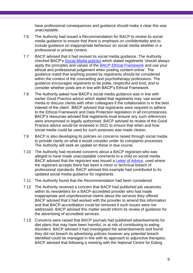have professional consequences and guidance should make it clear this was unacceptable.

- 7.6 The Authority had issued a Recommendation for BACP to review its social media guidance to ensure that there is emphasis on confidentiality and to include guidance on inappropriate behaviour on social media whether in a professional or private context.
- 7.7 BACP advised that it had revised its social media guidance. The Authority checked BACP's [Social Media policies](https://www.bacp.co.uk/membership/membership-policies/social-media/) which stated registrants 'should always apply the principles and values of the [BACP Ethical](https://www.bacp.co.uk/events-and-resources/ethics-and-standards/ethical-framework-for-the-counselling-professions/) Framework and use your ethical and professional judgement when posting content online'. The guidance noted that anything posted by registrants should be considered within the context of the counselling and psychotherapy professions. The guidance encourages registrants to be polite, respectful and kind, and to consider whether posts are in line with BACP's Ethical Framework.
- 7.8 The Authority asked how BACP's social media guidance was in line with earlier Good Practice advice which stated that registrants may 'use social media to discuss clients with other colleagues if the collaboration is in the best interest of the client'. BACP advised that registrants were required to adhere to the Ethical Framework and Data Protection legislation in all circumstances. BACP's resources advised that registrants must ensure any such references were anonymised or legally authorised. BACP advised its review of the Good Practice advice would be reviewed in 2021 to ensure that when and how social media could be used for such purposes was made clearer.
- 7.9 BACP is also developing its policies on concerns raised through social media to provide clarity on what it would consider under its complaints processes. The Authority will seek an update on these in due course.
- 7.10 The Authority had received concerns about a BACP registrant who was alleged to have made unacceptable comments to a child on social media. BACP advised that the registrant was issued a [Letter of Advice,](https://www.bacp.co.uk/media/4970/bacp-pr3-letter-of-advice.pdf) used where the registrant accepts there has been a minor or technical breach of professional standards. BACP advised this example had contributed to its updated social media guidance for registrants.
- 7.11 The Authority found that the Recommendation had been considered.
- 7.12 The Authority received a concern that BACP had published job vacancies within its newsletters for a BACP-accredited provider who had made inappropriate and unprofessional claims about the services they offered. BACP advised that it had worked with the provider to amend this information and that BACP-accreditation could be removed if such issues were not addressed. BACP advised this matter would inform its review of guidance for the advertising of accredited services.
- 7.13 Concerns were raised that BACP journals had published advertisements for diet plans that may have been harmful, or at risk of contributing to eating disorders. BACP advised it had investigated the advertisements and found they did not breach its advertising policies however any potential breach identified could be managed in line with its approach to adjunctive therapies. BACP advised that following a meeting with the National Centre for Eating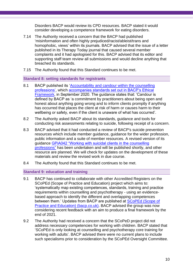Disorders BACP would review its CPD resources. BACP stated it would consider developing a competence framework for eating disorders.

- 7.14 The Authority received a concern that the BACP had published 'misinformation and often highly prejudiced/racist/ableist/trans and homophobic, views' within its journals. BACP advised that the issue of a letter published in its Therapy Today journal that caused several member complaints and it had apologised for this. BACP advised that its editor and supporting staff team review all submissions and would decline anything that breached its standards.
- 7.15 The Authority found that this Standard continues to be met.

#### **Standard 8: setting standards for registrants**

- 8.1 BACP published its 'Accountability and candour within the counselling [professions',](https://www.bacp.co.uk/media/9553/bacp-accountability-candour-crfp-gpia113-sep20.pdf) which [accompanies standards set out in BACP's Ethical](https://www.bacp.co.uk/events-and-resources/ethics-and-standards/ethical-framework-for-the-counselling-professions/accountability-and-candour/)  [Framework,](https://www.bacp.co.uk/events-and-resources/ethics-and-standards/ethical-framework-for-the-counselling-professions/accountability-and-candour/) in September 2020. The guidance states that: 'Candour is defined by BACP as 'a commitment by practitioners about being open and honest about anything going wrong and to inform clients promptly if anything has occurred that places the client at risk of harm or causes harm to their wellbeing or safety, even if the client is unaware of what has occurred'.
- 8.2 The Authority asked BACP about its standards, guidance and tools for conducting risk assessments relating to suicide, following receipt of a concern.
- 8.3 BACP advised that it had conducted a review of BACP's suicide prevention resources which include member guidance, guidance for the wider profession, public information and a suite of member resources. A revised version of its guidance [GPiA042 "Working with suicidal clients in the](https://www.bacp.co.uk/media/2157/bacp-working-with-suicidal-clients-fact-sheet-gpia042.pdf) counselling [professions"](https://www.bacp.co.uk/media/2157/bacp-working-with-suicidal-clients-fact-sheet-gpia042.pdf) has been undertaken and will be published shortly, and other resource are planned. We will check for updates on the development of these materials and review the revised work in due course.
- 8.4 The Authority found that this Standard continues to be met.

#### **Standard 9: education and training**

- 9.1 BACP has continued to collaborate with other Accredited Registers on the SCoPEd (Scope of Practice and Education) project which aims to: 'systematically map existing competences, standards, training and practice requirements within counselling and psychotherapy - using an evidencebased approach to identify the different and overlapping competences between them.' Updates from BACP are published at [SCoPEd \(Scope of](https://www.bacp.co.uk/about-us/advancing-the-profession/scoped/)  [Practice and Education\) \(bacp.co.uk\).](https://www.bacp.co.uk/about-us/advancing-the-profession/scoped/) BACP advised the group was now considering recent feedback with an aim to produce a final framework by the end of 2021.
- 9.2 The Authority had received a concern that the SCoPeD project did not address necessary competencies for working with children. BACP stated that 'SCoPEd is only looking at counselling and psychotherapy core training for working with adults'. BACP advised there were no current plans to include such specialisms prior to consideration by the SCoPEd Oversight Committee.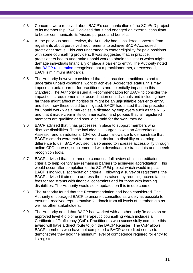- 9.3 Concerns were received about BACP's communication of the SCoPeD project to its membership. BACP advised that it had engaged an external consultant to better communicate its 'vision, purpose and benefits'.
- 9.4 At the previous annual review, the Authority had considered concerns from registrants about perceived requirements to achieve BACP-Accredited practitioner status. This was understood to confer eligibility for paid positions with some counselling providers. It was suggested that, in practice, practitioners had to undertake unpaid work to obtain this status which might damage individuals financially or place a barrier to entry. The Authority noted that [BACP registration](https://www.bacp.co.uk/membership/registered-membership/) recognised that a practitioner met, or exceeded, BACP's minimum standards.
- 9.5 The Authority however considered that if, in practice, practitioners had to undertake unpaid vocational work to achieve 'Accredited' status, this may impose an unfair barrier for practitioners and potentially impact on this Standard. The Authority issued a Recommendation for BACP to consider the impact of its requirements for accreditation on individuals and including how far these might affect minorities or might be an unjustifiable barrier to entry, and if so, how these could be mitigated. BACP had stated that the precedent for unpaid work was a market issue dictated by employers such as the NHS and that it made clear in its communication and policies that 'all registered members are qualified and should be paid for the work they do'.
- 9.6 BACP advised that it has processes in place to support members who disclose disabilities. These included 'telesurgeries with an Accreditation Assessor and an additional 10% word count allowance to demonstrate that BACP's criteria were met for those that declare a disability or learning difference to us.' BACP advised it also aimed to increase accessibility through online CPD courses, supplemented with downloadable transcripts and speech recognition tools.
- 9.7 BACP advised that it planned to conduct a full review of its accreditation criteria to help identify any remaining barriers to achieving accreditation. This would occur after completion of the SCoPEd project which would impact BACP's individual accreditation criteria. Following a survey of registrants, the BACP advised it aimed to address themes raised, by reducing accreditation fees for registrants with financial constraints and for those with learning disabilities. The Authority would seek updates on this in due course.
- 9.8 The Authority found that the Recommendation had been considered. The Authority encouraged BACP to ensure it consulted as widely as possible to ensure it received representative feedback from all levels of membership as well as other stakeholders.
- 9.9 The Authority noted that BACP had worked with another body 'to develop an approved level 4 diploma in therapeutic counselling which includes a Certificate of Proficiency (CoP). Practitioners who successfully complete this award will have a direct route to join the BACP Register.' The CoP allows BACP members who have not completed a BACP-accredited course to demonstrate they hold the minimum level of competence required for entry to its register.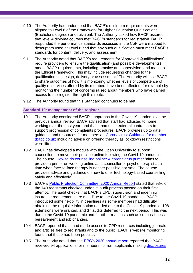- 9.10 The Authority had understood that BACP's minimum requirements were aligned to Level 6 of the Framework for Higher Education Qualifications (Bachelor's degree) or equivalent. The Authority asked how BACP assured that level 4 diploma courses met BACP's standards for registration. BACP responded the performance standards assessed in the CoP were mapped to descriptors used at Level 6 and that any such qualification must meet BACP's standards for content, delivery, and assessment.
- 9.11 The Authority noted that BACP's requirements for 'Approved Qualifications' require providers to 'ensure the qualification (and possible developments) meets BACP requirements, including practice and supervision, and maps to the Ethical Framework. This may include requesting changes to the qualification, its design, delivery or assessment.' The Authority will ask BACP to share outcomes of how it is monitoring whether levels of competence of quality of services offered by its members have been affected, for example by monitoring the number of concerns raised about members who have gained access to the register through this route.
- 9.12 The Authority found that this Standard continues to be met.

#### **Standard 10: management of the register**

- 10.1 The Authority considered BACP's approach to the Covid-19 pandemic at the previous annual review. BACP advised that staff had adjusted to home working over the past year, and that it had used external contractors to support progression of complaints procedures. BACP provides up to date guidance and resources for members at: [Coronavirus: Guidance for members](https://www.bacp.co.uk/news/news-from-bacp/coronavirus/)  [\(bacp.co.uk\)](https://www.bacp.co.uk/news/news-from-bacp/coronavirus/) including advice on offering therapy as lockdown restrictions were lifted.
- 10.2 BACP has developed a module with the Open University to support counsellors to move their practice online following the Covid-19 pandemic. The course, [How to do counselling online: A coronavirus primer](https://www.open.edu/openlearncreate/course/view.php?id=5039) 'aims to provide a primer on working online as a counsellor or psychotherapist at a time when face-to-face therapy is neither possible nor safe. The course provides advice and guidance on how to offer technology-based counselling safely and effectively'.
- 10.3 BACP's [Public Protection Committee: 2020 Annual Report](https://www.bacp.co.uk/media/11019/bacp-ppc-annual-report-2020.pdf) stated that 98% of the 740 registrants checked under its audit process passed on their first attempt. The audit checks that BACP's CPD, supervision and indemnity insurance requirements are met. Due to the Covid-19 pandemic, BACP introduced some flexibility in deadlines as some members had difficulty obtaining the requisite information needed due to the Covid-19 pandemic. 108 extensions were granted, and 37 audits deferred to the next period. This was due to the Covid-19 pandemic and for other reasons such as serious illness, bereavement and job changes.
- 10.4 BACP reported that it had made access to CPD resources including journals and articles free to registrants and to the public. BACP's website monitoring found that these had been popular.
- 10.5 The Authority noted that the [PPC's 2020 annual report](https://www.bacp.co.uk/media/11019/bacp-ppc-annual-report-2020.pdf) reported that BACP received 94 applications for membership from applicants making [disclosures:](https://www.bacp.co.uk/membership/membership-policies/membership-disclosure-policy/)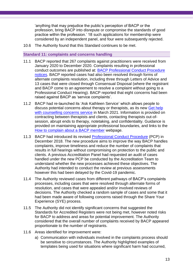'anything that may prejudice the public's perception of BACP or the profession, bring BACP into disrepute or compromise the standards of good practice within the profession.' 18 such applications for membership were considered by an independent panel, and four were subsequently rejected.

10.6 The Authority found that this Standard continues to be met.

#### **Standard 11: complaints and concerns handling**

- <span id="page-12-0"></span>11.1 BACP reported that 267 complaints against practitioners were received from January 2020 to December 2020. Complaints resulting in professional conduct outcomes are published at: [BACP Professional Conduct Procedure](https://www.bacp.co.uk/about-us/protecting-the-public/professional-conduct/notices/)  [notices.](https://www.bacp.co.uk/about-us/protecting-the-public/professional-conduct/notices/) BACP reported cases had also been resolved through forms of alternate complaints resolution, including three through Letters of Advice and 13 cases that were closed through Consensual Disposal (where the registrant and BACP come to an agreement to resolve a complaint without going to a Professional Conduct Hearing). BACP reported that eight concerns had been raised against BACP as 'service complaints'.
- 11.2 BACP had re-launched its 'Ask Kathleen Service' which allows people to discuss potential concerns about therapy or therapists, as its new [Get help](https://www.bacp.co.uk/about-therapy/get-help-with-counselling-concerns-service/)  with counselling [concerns service](https://www.bacp.co.uk/about-therapy/get-help-with-counselling-concerns-service/) in March 2021. Information is provided on contracting between therapists and clients, contacting therapists out-ofsession, abrupt ends to therapy, notetaking, and confidentiality. Guidance is provided on maintaining appropriate professional boundaries, and links to the [How to complain about a BACP member](https://www-training.bacp.co.uk/about-us/protecting-the-public/professional-conduct/how-to-complain-about-a-bacp-member/) webpage.
- <span id="page-12-1"></span>11.3 BACP had introduced its revised [Professional Conduct Procedure](https://www-training.bacp.co.uk/about-us/protecting-the-public/professional-conduct/how-to-complain-about-a-bacp-member/) (PCP) in December 2018. The new procedure aims to improve the way BACP handles complaints, improve timeliness and reduce the number of complaints that results in full hearings without compromising on protection to the public and clients. A previous Accreditation Panel had requested an audit of cases handled under the new PCP be conducted by the Accreditation Team to understand whether the new processes achieved these objectives. The Authority had intended to conduct the review at previous assessments however this had been delayed by the Covid-19 pandemic.
- 11.4 The Authority reviewed cases from different pathways of BACP's complaints processes, including cases that were resolved through alternate forms of resolution, and cases that were appealed and/or involved reviews of decisions. The Authority checked a random sample of cases and some that it had been made aware of following concerns raised through the Share Your Experience (SYE) process.
- 11.5 The Authority did not identify significant concerns that suggested the Standards for Accredited Registers were not being met, however noted risks for BACP to address and areas for potential improvement. The Authority considered that the overall number of complaints received by BACP appeared proportionate to the number of registrants.
- 11.6 Areas identified for improvement were:
	- a) Communication with individuals involved in the complaints process should be sensitive to circumstances. The Authority highlighted examples of templates being used for situations where significant harm had occurred,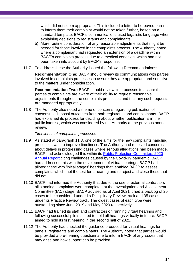which did not seem appropriate. This included a letter to bereaved parents to inform them their complaint would not be taken further, based on a standard template. BACP's communications used legalistic language when explaining decisions to registrants and complainants.

- b) More routine consideration of any reasonable adjustments that might be needed for those involved in the complaints process. The Authority noted where a complainant had requested an extension of a deadline within BACP's complaints process due to a medical condition, which had not been taken into account by BACP's response.
- 11.7 To address these the Authority issued the following Recommendations:

**Recommendation One:** BACP should review its communications with parties involved in complaints processes to assure they are appropriate and sensitive to the matters under consideration.

**Recommendation Two:** BACP should review its processes to assure that parties to complaints are aware of their ability to request reasonable adjustments throughout the complaints processes and that any such requests are managed appropriately.

11.8 The Authority also noted a theme of concerns regarding publication of consensual disposal outcomes from both registrants and complainants. BACP had explained its process for deciding about whether publication is in the public interest, which was considered by the Authority at the previous annual review.

#### *Timeliness of complaints processes*

- 11.9 As stated at paragraph [11.3,](#page-12-1) one of the aims for the new complaints handling processes was to improve timeliness. The Authority had received concerns about delays in progressing cases where serious allegations had been made. BACP had acknowledged this within its [Public Protection Committee: 2020](https://www.bacp.co.uk/media/11019/bacp-ppc-annual-report-2020.pdf)  [Annual Report](https://www.bacp.co.uk/media/11019/bacp-ppc-annual-report-2020.pdf) citing challenges caused by the Covid-19 pandemic. BACP had addressed this with the development of virtual hearings. BACP had piloted these with 'initial stages' hearings that 'enabled BACP to assess complaints which met the test for a hearing and to reject and close those that did not.'
- 11.10 BACP had informed the Authority that due to the use of external contractors all standing complaints were completed at the Investigation and Assessment Committee (IAC) stage. BACP advised as of April 2021 it had a backlog of 25 cases to be considered under its Disciplinary Review track and 35 cases under its Practice Review track. The oldest cases of each type were outstanding since June 2019 and May 2020 respectively.
- 11.11 BACP had trained its staff and contractors on running virtual hearings and following successful pilots aimed to hold all hearings virtually in future. BACP aimed to hold its first hearing in the second half of 2021.
- 11.12 The Authority had checked the guidance produced for virtual hearings for panels, registrants and complainants. The Authority noted that parties would be provided a pre-hearing questionnaire to inform BACP of any issues that may arise and how support can be provided.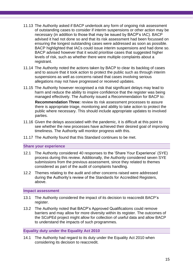- 11.13 The Authority asked if BACP undertook any form of ongoing risk assessment of outstanding cases to consider if interim suspensions or other action may be necessary (in addition to those that may be issued by BACP's IAC). BACP advised it had not done so and that its risk assessment had been focussed on ensuring the longest outstanding cases were addressed as soon as possible. BACP highlighted that IACs could issue interim suspensions and had done so. BACP advised however that it would prioritise cases that suggested higher levels of risk, such as whether there were multiple complaints about a registrant.
- 11.14 The Authority noted the actions taken by BACP to clear its backlog of cases and to assure that it took action to protect the public such as through interim suspensions as well as concerns raised that cases involving serious allegations may not have progressed or received updates.
- 11.15 The Authority however recognised a risk that significant delays may lead to harm and reduce the ability to inspire confidence that the register was being managed effectively. The Authority issued a Recommendation for BACP to:

**Recommendation Three:** review its risk assessment processes to assure there is appropriate triage, monitoring and ability to take action to protect the public where necessary. This should include appropriate updates to involved parties.

- 11.16 Given the delays associated with the pandemic, it is difficult at this point to see whether the new processes have achieved their desired goal of improving timeliness. The Authority will monitor progress with this.
- 11.17 The Authority found that this Standard continues to be met.

**Share your experience**

- 12.1 The Authority considered 40 responses to the 'Share Your Experience' (SYE) process during this review. Additionally, the Authority considered seven SYE submissions from the previous assessment, since they related to themes considered as part of the audit of complaints handling.
- 12.2 Themes relating to the audit and other concerns raised were addressed during the Authority's review of the Standards for Accredited Registers, above.

#### <span id="page-14-0"></span>**Impact assessment**

- 13.1 The Authority considered the impact of its decision to reaccredit BACP's register.
- 13.2 The Authority noted that BACP's Approved Qualifications could remove barriers and may allow for more diversity within its register. The outcomes of the SCoPEd project might allow for collection of useful data and allow BACP to understand the impacts of such programmes.

#### <span id="page-14-1"></span>**Equality duty under the Equality Act 2010**

14.1 The Authority had regard to its duty under the Equality Act 2010 when considering its decision to reaccredit.